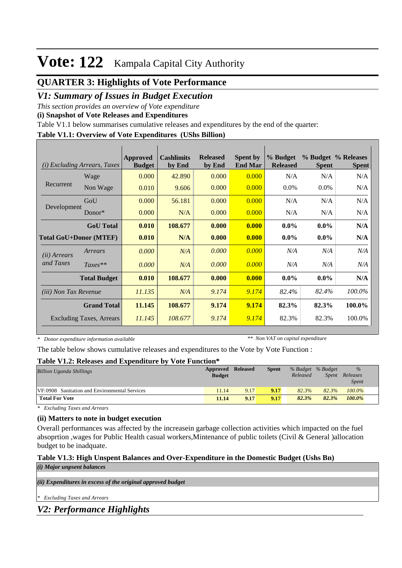## **Vote: 122** Kampala Capital City Authority

## **QUARTER 3: Highlights of Vote Performance**

### *V1: Summary of Issues in Budget Execution*

*This section provides an overview of Vote expenditure* 

**(i) Snapshot of Vote Releases and Expenditures**

Table V1.1 below summarises cumulative releases and expenditures by the end of the quarter:

#### **Table V1.1: Overview of Vote Expenditures (UShs Billion)**

| (i)                           | <i>Excluding Arrears, Taxes</i> | <b>Approved</b><br><b>Budget</b> | <b>Cashlimits</b><br>by End | <b>Released</b><br>by End | <b>Spent by</b><br><b>End Mar</b> | % Budget<br><b>Released</b> | <b>Spent</b> | % Budget % Releases<br><b>Spent</b> |
|-------------------------------|---------------------------------|----------------------------------|-----------------------------|---------------------------|-----------------------------------|-----------------------------|--------------|-------------------------------------|
|                               | Wage                            | 0.000                            | 42.890                      | 0.000                     | 0.000                             | N/A                         | N/A          | N/A                                 |
| Recurrent                     | Non Wage                        | 0.010                            | 9.606                       | 0.000                     | 0.000                             | $0.0\%$                     | $0.0\%$      | N/A                                 |
|                               | GoU                             | 0.000                            | 56.181                      | 0.000                     | 0.000                             | N/A                         | N/A          | N/A                                 |
| Development                   | $Donor*$                        | 0.000                            | N/A                         | 0.000                     | 0.000                             | N/A                         | N/A          | N/A                                 |
|                               | <b>GoU</b> Total                | 0.010                            | 108.677                     | 0.000                     | 0.000                             | $0.0\%$                     | $0.0\%$      | N/A                                 |
| <b>Total GoU+Donor (MTEF)</b> |                                 | 0.010                            | N/A                         | 0.000                     | 0.000                             | $0.0\%$                     | $0.0\%$      | N/A                                 |
| ( <i>ii</i> ) Arrears         | Arrears                         | 0.000                            | N/A                         | 0.000                     | 0.000                             | N/A                         | N/A          | N/A                                 |
| and Taxes                     | $Taxes**$                       | 0.000                            | N/A                         | 0.000                     | 0.000                             | N/A                         | N/A          | N/A                                 |
|                               | <b>Total Budget</b>             | 0.010                            | 108.677                     | 0.000                     | 0.000                             | $0.0\%$                     | $0.0\%$      | N/A                                 |
| <i>(iii)</i> Non Tax Revenue  |                                 | 11.135                           | N/A                         | 9.174                     | 9.174                             | 82.4%                       | 82.4%        | 100.0%                              |
|                               | <b>Grand Total</b>              | 11.145                           | 108.677                     | 9.174                     | 9.174                             | 82.3%                       | 82.3%        | 100.0%                              |
|                               | <b>Excluding Taxes, Arrears</b> | 11.145                           | 108.677                     | 9.174                     | 9.174                             | 82.3%                       | 82.3%        | 100.0%                              |

*\* Donor expenditure information available*

*\*\* Non VAT on capital expenditure*

The table below shows cumulative releases and expenditures to the Vote by Vote Function :

#### **Table V1.2: Releases and Expenditure by Vote Function\***

| <b>Billion Uganda Shillings</b>               | <b>Approved Released</b><br><b>Budget</b> |      | <b>Spent</b> | % Budget % Budget<br>Released | <i>Spent</i> | $\%$<br>Releases<br><i>Spent</i> |  |
|-----------------------------------------------|-------------------------------------------|------|--------------|-------------------------------|--------------|----------------------------------|--|
| VF:0908 Sanitation and Environmental Services | 11.14                                     | 9.17 | 9.17         | 82.3%                         | 82.3%        | $100.0\%$                        |  |
| <b>Total For Vote</b>                         | 11.14                                     | 9.17 | 9.17         | 82.3%                         | 82.3%        | 100.0%                           |  |

*\* Excluding Taxes and Arrears*

#### **(ii) Matters to note in budget execution**

Overall performances was affected by the increasein garbage collection activities which impacted on the fuel absoprtion ,wages for Public Health casual workers,Mintenance of public toilets (Civil & General )allocation budget to be inadquate.

#### **Table V1.3: High Unspent Balances and Over-Expenditure in the Domestic Budget (Ushs Bn)** *(i) Major unpsent balances*

*(ii) Expenditures in excess of the original approved budget*

*\* Excluding Taxes and Arrears*

*V2: Performance Highlights*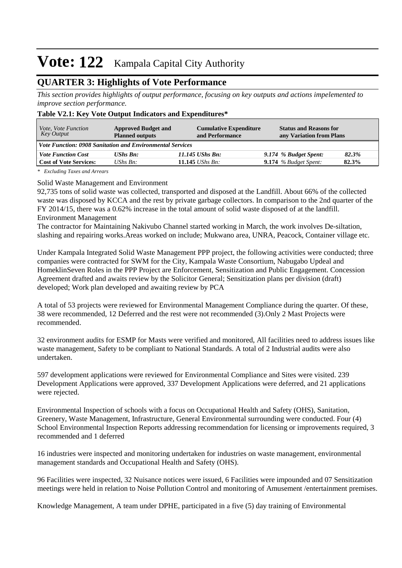## **Vote: 122** Kampala Capital City Authority

## **QUARTER 3: Highlights of Vote Performance**

*This section provides highlights of output performance, focusing on key outputs and actions impelemented to improve section performance.*

#### **Table V2.1: Key Vote Output Indicators and Expenditures\***

| <i>Vote, Vote Function</i><br>Key Output                         | <b>Approved Budget and</b><br><b>Planned outputs</b> | <b>Cumulative Expenditure</b><br>and Performance | <b>Status and Reasons for</b><br>any Variation from Plans |       |
|------------------------------------------------------------------|------------------------------------------------------|--------------------------------------------------|-----------------------------------------------------------|-------|
| <b>Vote Function: 0908 Sanitation and Environmental Services</b> |                                                      |                                                  |                                                           |       |
| <b>Vote Function Cost</b>                                        | <b>UShs Bn:</b>                                      | 11.145 UShs Bn:                                  | 9.174 % Budget Spent:                                     | 82.3% |
| <b>Cost of Vote Services:</b>                                    | UShs $B_n$ :                                         | 11.145 <i>UShs Bn</i> :                          | <b>9.174</b> % Budget Spent:                              | 82.3% |

*\* Excluding Taxes and Arrears*

#### Solid Waste Management and Environment

92,735 tons of solid waste was collected, transported and disposed at the Landfill. About 66% of the collected waste was disposed by KCCA and the rest by private garbage collectors. In comparison to the 2nd quarter of the FY 2014/15, there was a 0.62% increase in the total amount of solid waste disposed of at the landfill. Environment Management 

The contractor for Maintaining Nakivubo Channel started working in March, the work involves De-siltation, slashing and repairing works.Areas worked on include; Mukwano area, UNRA, Peacock, Container village etc.

Under Kampala Integrated Solid Waste Management PPP project, the following activities were conducted; three companies were contracted for SWM for the City, Kampala Waste Consortium, Nabugabo Updeal and HomeklinSeven Roles in the PPP Project are Enforcement, Sensitization and Public Engagement. Concession Agreement drafted and awaits review by the Solicitor General; Sensitization plans per division (draft) developed; Work plan developed and awaiting review by PCA

A total of 53 projects were reviewed for Environmental Management Compliance during the quarter. Of these, 38 were recommended, 12 Deferred and the rest were not recommended (3).Only 2 Mast Projects were recommended.

32 environment audits for ESMP for Masts were verified and monitored, All facilities need to address issues like waste management, Safety to be compliant to National Standards. A total of 2 Industrial audits were also undertaken.

597 development applications were reviewed for Environmental Compliance and Sites were visited. 239 Development Applications were approved, 337 Development Applications were deferred, and 21 applications were rejected.

Environmental Inspection of schools with a focus on Occupational Health and Safety (OHS), Sanitation, Greenery, Waste Management, Infrastructure, General Environmental surrounding were conducted. Four (4) School Environmental Inspection Reports addressing recommendation for licensing or improvements required, 3 recommended and 1 deferred

16 industries were inspected and monitoring undertaken for industries on waste management, environmental management standards and Occupational Health and Safety (OHS).

96 Facilities were inspected, 32 Nuisance notices were issued, 6 Facilities were impounded and 07 Sensitization meetings were held in relation to Noise Pollution Control and monitoring of Amusement /entertainment premises.

Knowledge Management, A team under DPHE, participated in a five (5) day training of Environmental